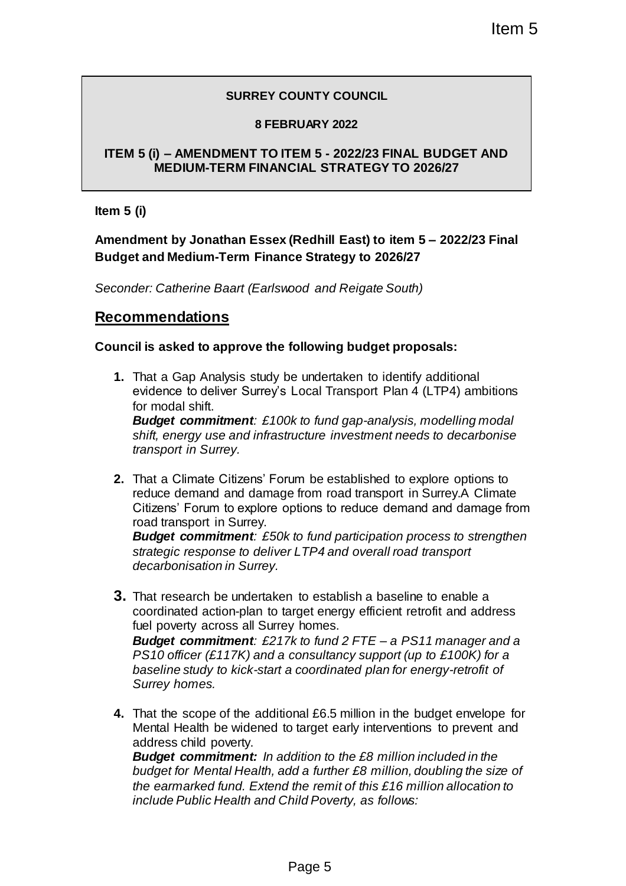#### **SURREY COUNTY COUNCIL**

#### **8 FEBRUARY 2022**

#### **ITEM 5 (i) – AMENDMENT TO ITEM 5 - 2022/23 FINAL BUDGET AND MEDIUM-TERM FINANCIAL STRATEGY TO 2026/27**

**Item 5 (i)**

## **Amendment by Jonathan Essex (Redhill East) to item 5 – 2022/23 Final Budget and Medium-Term Finance Strategy to 2026/27**

*Seconder: Catherine Baart (Earlswood and Reigate South)*

## **Recommendations**

#### **Council is asked to approve the following budget proposals:**

**1.** That a Gap Analysis study be undertaken to identify additional evidence to deliver Surrey's Local Transport Plan 4 (LTP4) ambitions for modal shift.

*Budget commitment: £100k to fund gap-analysis, modelling modal shift, energy use and infrastructure investment needs to decarbonise transport in Surrey.* 

**2.** That a Climate Citizens' Forum be established to explore options to reduce demand and damage from road transport in Surrey.A Climate Citizens' Forum to explore options to reduce demand and damage from road transport in Surrey.

*Budget commitment: £50k to fund participation process to strengthen strategic response to deliver LTP4 and overall road transport decarbonisation in Surrey.* 

- **3.** That research be undertaken to establish a baseline to enable a coordinated action-plan to target energy efficient retrofit and address fuel poverty across all Surrey homes. *Budget commitment: £217k to fund 2 FTE – a PS11 manager and a PS10 officer (£117K) and a consultancy support (up to £100K) for a baseline study to kick-start a coordinated plan for energy-retrofit of Surrey homes.*  Item 5<br>
EMB 5 - 2022/23 FINAL BUDGET AND<br>
EMB 5 - 2022/23 FINAL BUDGET AND<br>
CIAL STRATEGY TO 2026/27<br>
(Redhill East) to item 5 – 2022/23 Final<br>
ce Strategy to 2026/27<br>
and and Reigate South)<br>
following budget proposals:<br>
e
- **4.** That the scope of the additional £6.5 million in the budget envelope for Mental Health be widened to target early interventions to prevent and address child poverty.

*Budget commitment: In addition to the £8 million included in the budget for Mental Health, add a further £8 million, doubling the size of the earmarked fund. Extend the remit of this £16 million allocation to include Public Health and Child Poverty, as follows:*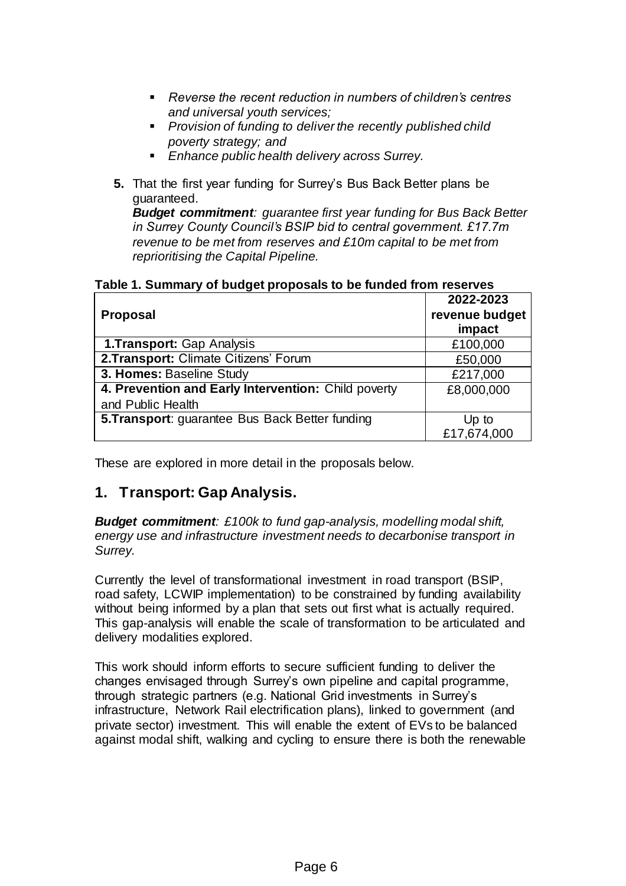- *Reverse the recent reduction in numbers of children's centres and universal youth services;*
- *Provision of funding to deliver the recently published child poverty strategy; and*
- *Enhance public health delivery across Surrey.*
- **5.** That the first year funding for Surrey's Bus Back Better plans be guaranteed.

*Budget commitment: guarantee first year funding for Bus Back Better in Surrey County Council's BSIP bid to central government. £17.7m revenue to be met from reserves and £10m capital to be met from reprioritising the Capital Pipeline.*

#### **Table 1. Summary of budget proposals to be funded from reserves**

|                                                        | 2022-2023      |
|--------------------------------------------------------|----------------|
| <b>Proposal</b>                                        | revenue budget |
|                                                        | impact         |
| <b>1. Transport: Gap Analysis</b>                      | £100,000       |
| 2. Transport: Climate Citizens' Forum                  | £50,000        |
| 3. Homes: Baseline Study                               | £217,000       |
| 4. Prevention and Early Intervention: Child poverty    | £8,000,000     |
| and Public Health                                      |                |
| <b>5. Transport:</b> guarantee Bus Back Better funding | Up to          |
|                                                        | £17,674,000    |

These are explored in more detail in the proposals below.

# **1. Transport: Gap Analysis.**

*Budget commitment: £100k to fund gap-analysis, modelling modal shift, energy use and infrastructure investment needs to decarbonise transport in Surrey.* 

Currently the level of transformational investment in road transport (BSIP, road safety, LCWIP implementation) to be constrained by funding availability without being informed by a plan that sets out first what is actually required. This gap-analysis will enable the scale of transformation to be articulated and delivery modalities explored.

This work should inform efforts to secure sufficient funding to deliver the changes envisaged through Surrey's own pipeline and capital programme, through strategic partners (e.g. National Grid investments in Surrey's infrastructure, Network Rail electrification plans), linked to government (and private sector) investment. This will enable the extent of EVs to be balanced against modal shift, walking and cycling to ensure there is both the renewable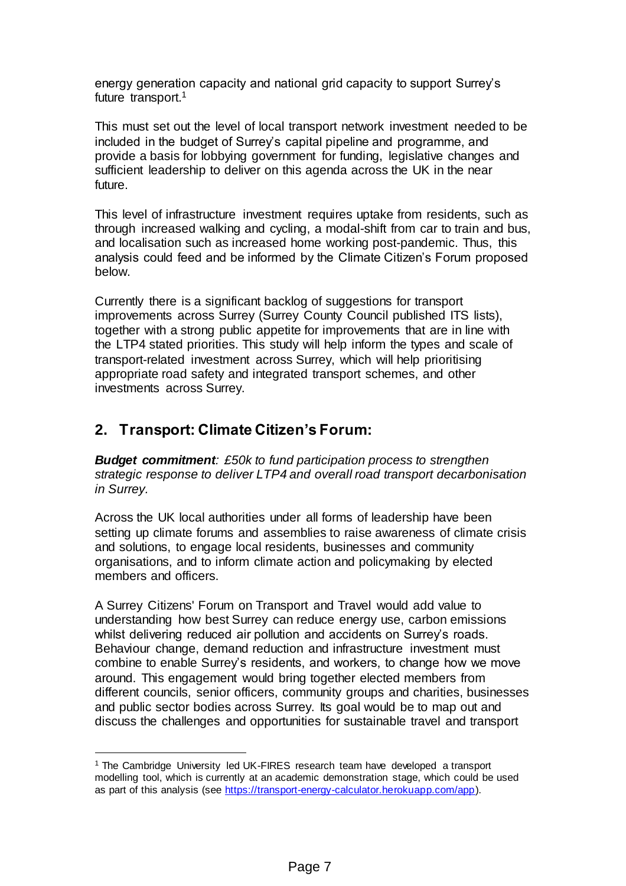energy generation capacity and national grid capacity to support Surrey's future transport.<sup>1</sup>

This must set out the level of local transport network investment needed to be included in the budget of Surrey's capital pipeline and programme, and provide a basis for lobbying government for funding, legislative changes and sufficient leadership to deliver on this agenda across the UK in the near future.

This level of infrastructure investment requires uptake from residents, such as through increased walking and cycling, a modal-shift from car to train and bus, and localisation such as increased home working post-pandemic. Thus, this analysis could feed and be informed by the Climate Citizen's Forum proposed below.

Currently there is a significant backlog of suggestions for transport improvements across Surrey (Surrey County Council published ITS lists), together with a strong public appetite for improvements that are in line with the LTP4 stated priorities. This study will help inform the types and scale of transport-related investment across Surrey, which will help prioritising appropriate road safety and integrated transport schemes, and other investments across Surrey.

## **2. Transport: Climate Citizen's Forum:**

 $\overline{a}$ 

*Budget commitment: £50k to fund participation process to strengthen strategic response to deliver LTP4 and overall road transport decarbonisation in Surrey.* 

Across the UK local authorities under all forms of leadership have been setting up climate forums and assemblies to raise awareness of climate crisis and solutions, to engage local residents, businesses and community organisations, and to inform climate action and policymaking by elected members and officers.

A Surrey Citizens' Forum on Transport and Travel would add value to understanding how best Surrey can reduce energy use, carbon emissions whilst delivering reduced air pollution and accidents on Surrey's roads. Behaviour change, demand reduction and infrastructure investment must combine to enable Surrey's residents, and workers, to change how we move around. This engagement would bring together elected members from different councils, senior officers, community groups and charities, businesses and public sector bodies across Surrey. Its goal would be to map out and discuss the challenges and opportunities for sustainable travel and transport

<sup>1</sup> The Cambridge University led UK-FIRES research team have developed a transport modelling tool, which is currently at an academic demonstration stage, which could be used as part of this analysis (see [https://transport-energy-calculator.herokuapp.com/app\).](https://transport-energy-calculator.herokuapp.com/app)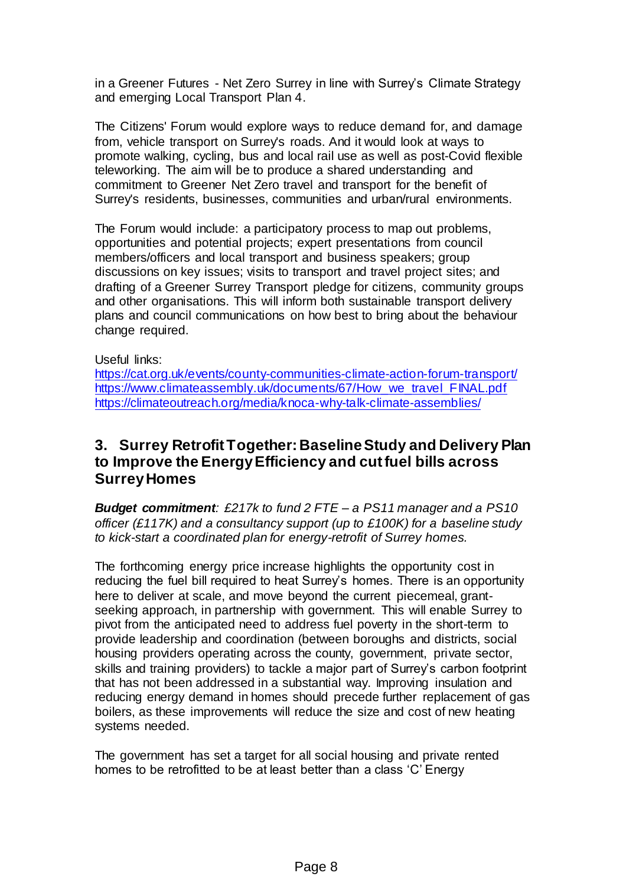in a Greener Futures - Net Zero Surrey in line with Surrey's Climate Strategy and emerging Local Transport Plan 4.

The Citizens' Forum would explore ways to reduce demand for, and damage from, vehicle transport on Surrey's roads. And it would look at ways to promote walking, cycling, bus and local rail use as well as post-Covid flexible teleworking. The aim will be to produce a shared understanding and commitment to Greener Net Zero travel and transport for the benefit of Surrey's residents, businesses, communities and urban/rural environments.

The Forum would include: a participatory process to map out problems, opportunities and potential projects; expert presentations from council members/officers and local transport and business speakers; group discussions on key issues; visits to transport and travel project sites; and drafting of a Greener Surrey Transport pledge for citizens, community groups and other organisations. This will inform both sustainable transport delivery plans and council communications on how best to bring about the behaviour change required.

#### Useful links:

<https://cat.org.uk/events/county-communities-climate-action-forum-transport/> [https://www.climateassembly.uk/documents/67/How\\_we\\_travel\\_FINAL.pdf](https://www.climateassembly.uk/documents/67/How_we_travel_FINAL.pdf) <https://climateoutreach.org/media/knoca-why-talk-climate-assemblies/>

## **3. Surrey Retrofit Together: Baseline Study and Delivery Plan to Improve the Energy Efficiency and cut fuel bills across Surrey Homes**

*Budget commitment: £217k to fund 2 FTE – a PS11 manager and a PS10 officer (£117K) and a consultancy support (up to £100K) for a baseline study to kick-start a coordinated plan for energy-retrofit of Surrey homes.* 

The forthcoming energy price increase highlights the opportunity cost in reducing the fuel bill required to heat Surrey's homes. There is an opportunity here to deliver at scale, and move beyond the current piecemeal, grantseeking approach, in partnership with government. This will enable Surrey to pivot from the anticipated need to address fuel poverty in the short-term to provide leadership and coordination (between boroughs and districts, social housing providers operating across the county, government, private sector, skills and training providers) to tackle a major part of Surrey's carbon footprint that has not been addressed in a substantial way. Improving insulation and reducing energy demand in homes should precede further replacement of gas boilers, as these improvements will reduce the size and cost of new heating systems needed.

The government has set a target for all social housing and private rented homes to be retrofitted to be at least better than a class 'C' Energy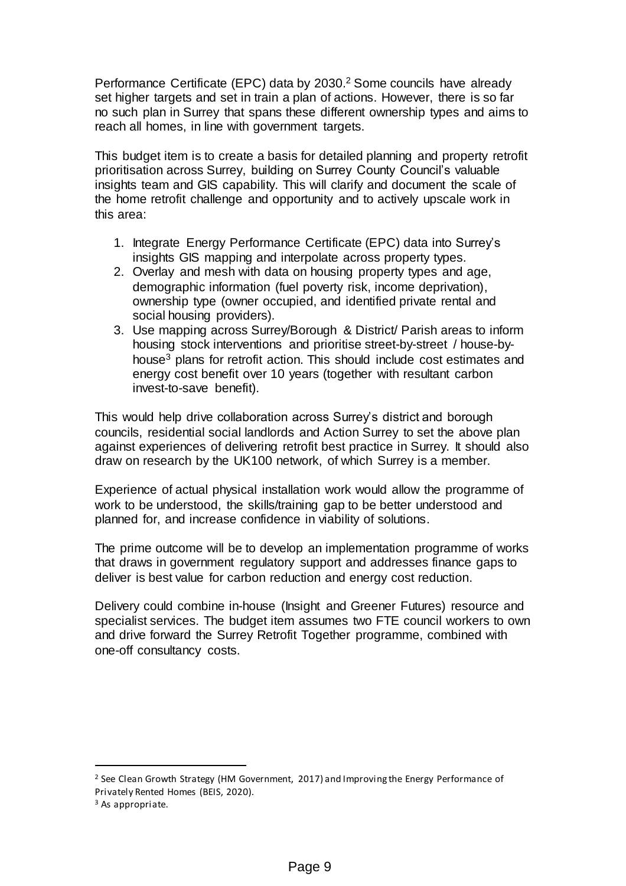Performance Certificate (EPC) data by 2030.<sup>2</sup> Some councils have already set higher targets and set in train a plan of actions. However, there is so far no such plan in Surrey that spans these different ownership types and aims to reach all homes, in line with government targets.

This budget item is to create a basis for detailed planning and property retrofit prioritisation across Surrey, building on Surrey County Council's valuable insights team and GIS capability. This will clarify and document the scale of the home retrofit challenge and opportunity and to actively upscale work in this area:

- 1. Integrate Energy Performance Certificate (EPC) data into Surrey's insights GIS mapping and interpolate across property types.
- 2. Overlay and mesh with data on housing property types and age, demographic information (fuel poverty risk, income deprivation), ownership type (owner occupied, and identified private rental and social housing providers).
- 3. Use mapping across Surrey/Borough & District/ Parish areas to inform housing stock interventions and prioritise street-by-street / house-byhouse<sup>3</sup> plans for retrofit action. This should include cost estimates and energy cost benefit over 10 years (together with resultant carbon invest-to-save benefit).

This would help drive collaboration across Surrey's district and borough councils, residential social landlords and Action Surrey to set the above plan against experiences of delivering retrofit best practice in Surrey. It should also draw on research by the UK100 network, of which Surrey is a member.

Experience of actual physical installation work would allow the programme of work to be understood, the skills/training gap to be better understood and planned for, and increase confidence in viability of solutions.

The prime outcome will be to develop an implementation programme of works that draws in government regulatory support and addresses finance gaps to deliver is best value for carbon reduction and energy cost reduction.

Delivery could combine in-house (Insight and Greener Futures) resource and specialist services. The budget item assumes two FTE council workers to own and drive forward the Surrey Retrofit Together programme, combined with one-off consultancy costs.

 $\overline{a}$ 

 $2$  See Clean Growth Strategy (HM Government, 2017) and Improving the Energy Performance of Privately Rented Homes (BEIS, 2020).

<sup>&</sup>lt;sup>3</sup> As appropriate.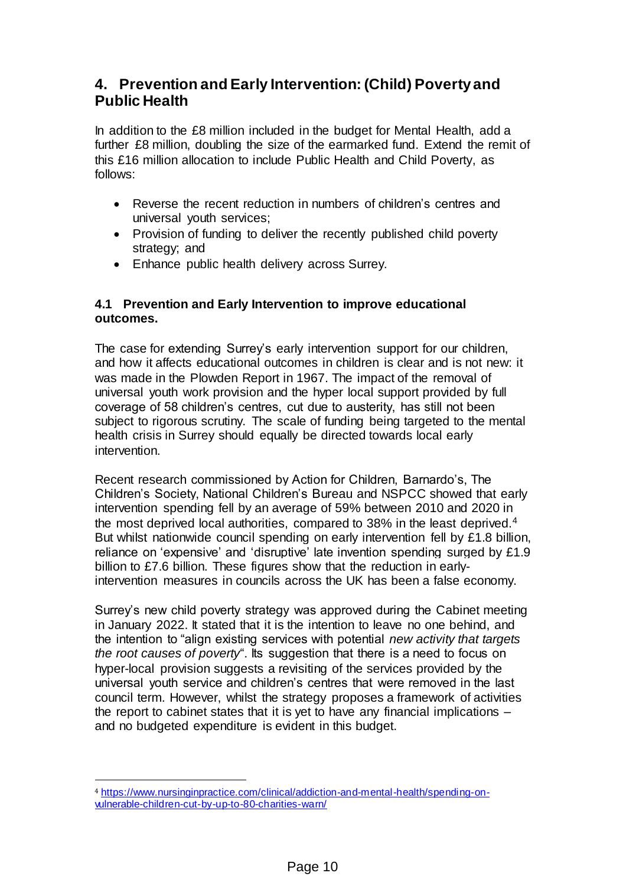## **4. Prevention and Early Intervention: (Child) Povertyand Public Health**

In addition to the £8 million included in the budget for Mental Health, add a further £8 million, doubling the size of the earmarked fund. Extend the remit of this £16 million allocation to include Public Health and Child Poverty, as follows:

- Reverse the recent reduction in numbers of children's centres and universal youth services;
- Provision of funding to deliver the recently published child poverty strategy; and
- Enhance public health delivery across Surrey.

#### **4.1 Prevention and Early Intervention to improve educational outcomes.**

The case for extending Surrey's early intervention support for our children, and how it affects educational outcomes in children is clear and is not new: it was made in the Plowden Report in 1967. The impact of the removal of universal youth work provision and the hyper local support provided by full coverage of 58 children's centres, cut due to austerity, has still not been subject to rigorous scrutiny. The scale of funding being targeted to the mental health crisis in Surrey should equally be directed towards local early intervention.

Recent research commissioned by Action for Children, Barnardo's, The Children's Society, National Children's Bureau and NSPCC showed that early intervention spending fell by an average of 59% between 2010 and 2020 in the most deprived local authorities, compared to 38% in the least deprived.<sup>4</sup> But whilst nationwide council spending on early intervention fell by £1.8 billion, reliance on 'expensive' and 'disruptive' late invention spending surged by £1.9 billion to £7.6 billion. These figures show that the reduction in earlyintervention measures in councils across the UK has been a false economy.

Surrey's new child poverty strategy was approved during the Cabinet meeting in January 2022. It stated that it is the intention to leave no one behind, and the intention to "align existing services with potential *new activity that targets the root causes of poverty*". Its suggestion that there is a need to focus on hyper-local provision suggests a revisiting of the services provided by the universal youth service and children's centres that were removed in the last council term. However, whilst the strategy proposes a framework of activities the report to cabinet states that it is yet to have any financial implications – and no budgeted expenditure is evident in this budget.

 $\overline{a}$ 

<sup>4</sup> [https://www.nursinginpractice.com/clinical/addiction-and-mental-health/spending-on](https://www.nursinginpractice.com/clinical/addiction-and-mental-health/spending-on-vulnerable-children-cut-by-up-to-80-charities-warn/)[vulnerable-children-cut-by-up-to-80-charities-warn/](https://www.nursinginpractice.com/clinical/addiction-and-mental-health/spending-on-vulnerable-children-cut-by-up-to-80-charities-warn/)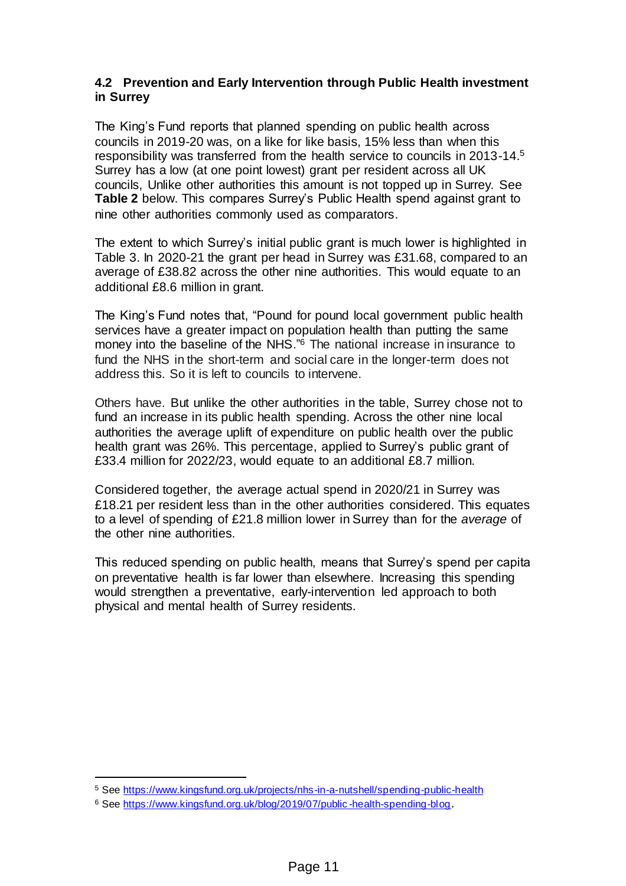#### **4.2 Prevention and Early Intervention through Public Health investment in Surrey**

The King's Fund reports that planned spending on public health across councils in 2019-20 was, on a like for like basis, 15% less than when this responsibility was transferred from the health service to councils in 2013-14.<sup>5</sup> Surrey has a low (at one point lowest) grant per resident across all UK councils, Unlike other authorities this amount is not topped up in Surrey. See **Table 2** below. This compares Surrey's Public Health spend against grant to nine other authorities commonly used as comparators.

The extent to which Surrey's initial public grant is much lower is highlighted in Table 3. In 2020-21 the grant per head in Surrey was £31.68, compared to an average of £38.82 across the other nine authorities. This would equate to an additional £8.6 million in grant.

The King's Fund notes that, "Pound for pound local government public health services have a greater impact on population health than putting the same money into the baseline of the NHS." <sup>6</sup> The national increase in insurance to fund the NHS in the short-term and social care in the longer-term does not address this. So it is left to councils to intervene.

Others have. But unlike the other authorities in the table, Surrey chose not to fund an increase in its public health spending. Across the other nine local authorities the average uplift of expenditure on public health over the public health grant was 26%. This percentage, applied to Surrey's public grant of £33.4 million for 2022/23, would equate to an additional £8.7 million.

Considered together, the average actual spend in 2020/21 in Surrey was £18.21 per resident less than in the other authorities considered. This equates to a level of spending of £21.8 million lower in Surrey than for the *average* of the other nine authorities.

This reduced spending on public health, means that Surrey's spend per capita on preventative health is far lower than elsewhere. Increasing this spending would strengthen a preventative, early-intervention led approach to both physical and mental health of Surrey residents.

 $\overline{a}$ 

<sup>5</sup> See<https://www.kingsfund.org.uk/projects/nhs-in-a-nutshell/spending-public-health>

<sup>6</sup> See [https://www.kingsfund.org.uk/blog/2019/07/public](https://www.kingsfund.org.uk/blog/2019/07/public-health-spending-blog) -health-spending-blog.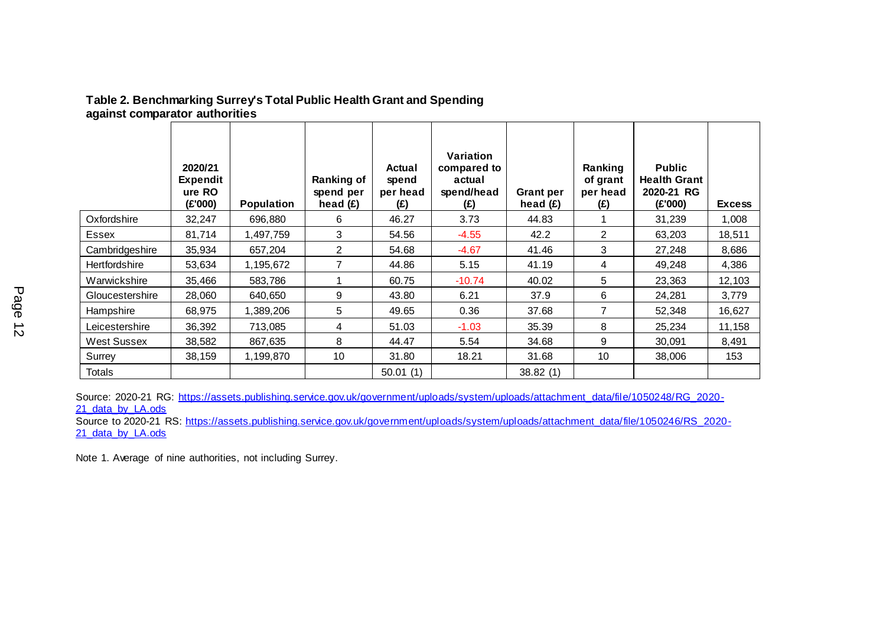|                      | 2020/21<br><b>Expendit</b><br>ure RO<br>(£'000) | <b>Population</b> | <b>Ranking of</b><br>spend per<br>head $(E)$ | <b>Actual</b><br>spend<br>per head<br>(£) | Variation<br>compared to<br>actual<br>spend/head<br>(E) | <b>Grant per</b><br>head $(E)$ | Ranking<br>of grant<br>per head<br>(E) | <b>Public</b><br><b>Health Grant</b><br>2020-21 RG<br>(£'000) | <b>Excess</b> |
|----------------------|-------------------------------------------------|-------------------|----------------------------------------------|-------------------------------------------|---------------------------------------------------------|--------------------------------|----------------------------------------|---------------------------------------------------------------|---------------|
| Oxfordshire          | 32,247                                          | 696,880           | 6                                            | 46.27                                     | 3.73                                                    | 44.83                          |                                        | 31,239                                                        | 1,008         |
| Essex                | 81,714                                          | 1,497,759         | 3                                            | 54.56                                     | $-4.55$                                                 | 42.2                           | $\overline{2}$                         | 63,203                                                        | 18,511        |
| Cambridgeshire       | 35,934                                          | 657,204           | 2                                            | 54.68                                     | $-4.67$                                                 | 41.46                          | 3                                      | 27,248                                                        | 8,686         |
| <b>Hertfordshire</b> | 53,634                                          | 1,195,672         | 7                                            | 44.86                                     | 5.15                                                    | 41.19                          | 4                                      | 49,248                                                        | 4,386         |
| Warwickshire         | 35,466                                          | 583,786           |                                              | 60.75                                     | $-10.74$                                                | 40.02                          | 5                                      | 23,363                                                        | 12,103        |
| Gloucestershire      | 28,060                                          | 640,650           | 9                                            | 43.80                                     | 6.21                                                    | 37.9                           | 6                                      | 24,281                                                        | 3,779         |
| Hampshire            | 68,975                                          | 1,389,206         | 5                                            | 49.65                                     | 0.36                                                    | 37.68                          | 7                                      | 52,348                                                        | 16,627        |
| Leicestershire       | 36,392                                          | 713,085           | 4                                            | 51.03                                     | $-1.03$                                                 | 35.39                          | 8                                      | 25,234                                                        | 11,158        |
| <b>West Sussex</b>   | 38,582                                          | 867,635           | 8                                            | 44.47                                     | 5.54                                                    | 34.68                          | 9                                      | 30,091                                                        | 8,491         |
| Surrey               | 38,159                                          | 1,199,870         | 10                                           | 31.80                                     | 18.21                                                   | 31.68                          | 10                                     | 38,006                                                        | 153           |
| Totals               |                                                 |                   |                                              | 50.01(1)                                  |                                                         | 38.82(1)                       |                                        |                                                               |               |

#### **Table 2. Benchmarking Surrey's Total Public Health Grant and Spending against comparator authorities**

Source: 2020-21 RG: [https://assets.publishing.service.gov.uk/government/uploads/system/uploads/attachment\\_data/file/1050248/RG\\_2020-](https://assets.publishing.service.gov.uk/government/uploads/system/uploads/attachment_data/file/1050248/RG_2020-21_data_by_LA.ods) 21 data by LA.ods

Source to 2020-21 RS: [https://assets.publishing.service.gov.uk/government/uploads/system/uploads/attachment\\_data/file/1050246/RS\\_2020-](https://assets.publishing.service.gov.uk/government/uploads/system/uploads/attachment_data/file/1050246/RS_2020-21_data_by_LA.ods) 21 data by LA.ods

Note 1. Average of nine authorities, not including Surrey.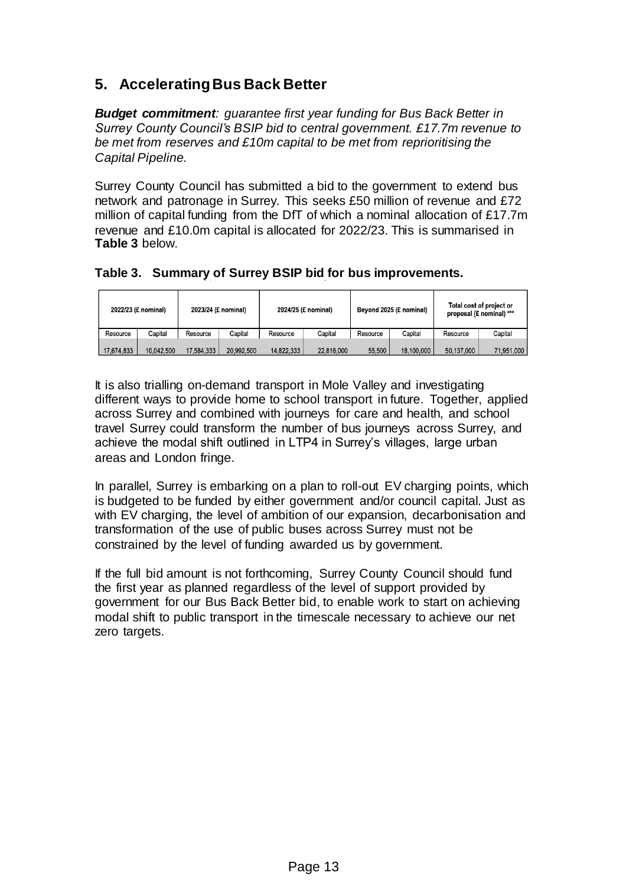# **5. Accelerating Bus Back Better**

*Budget commitment: guarantee first year funding for Bus Back Better in Surrey County Council's BSIP bid to central government. £17.7m revenue to be met from reserves and £10m capital to be met from reprioritising the Capital Pipeline.*

Surrey County Council has submitted a bid to the government to extend bus network and patronage in Surrey. This seeks £50 million of revenue and £72 million of capital funding from the DfT of which a nominal allocation of £17.7m revenue and £10.0m capital is allocated for 2022/23. This is summarised in **Table 3** below.

### **Table 3. Summary of Surrey BSIP bid for bus improvements.**

| 2022/23 (£ nominal) |            | 2023/24 (£ nominal) |            |            | 2024/25 (£ nominal) | Beyond 2025 (£ nominal) |            | Total cost of project or<br>proposal (£ nominal) *** |            |
|---------------------|------------|---------------------|------------|------------|---------------------|-------------------------|------------|------------------------------------------------------|------------|
| Resource            | Capital    | Resource            | Capital    | Resource   | Capital             | Resource                | Capital    | Resource                                             | Capital    |
| 17.674.833          | 10.042.500 | 17.584.333          | 20.992.500 | 14.822.333 | 22.816.000          | 55,500                  | 18.100.000 | 50.137.000                                           | 71,951,000 |

It is also trialling on-demand transport in Mole Valley and investigating different ways to provide home to school transport in future. Together, applied across Surrey and combined with journeys for care and health, and school travel Surrey could transform the number of bus journeys across Surrey, and achieve the modal shift outlined in LTP4 in Surrey's villages, large urban areas and London fringe.

In parallel, Surrey is embarking on a plan to roll-out EV charging points, which is budgeted to be funded by either government and/or council capital. Just as with EV charging, the level of ambition of our expansion, decarbonisation and transformation of the use of public buses across Surrey must not be constrained by the level of funding awarded us by government.

If the full bid amount is not forthcoming, Surrey County Council should fund the first year as planned regardless of the level of support provided by government for our Bus Back Better bid, to enable work to start on achieving modal shift to public transport in the timescale necessary to achieve our net zero targets.